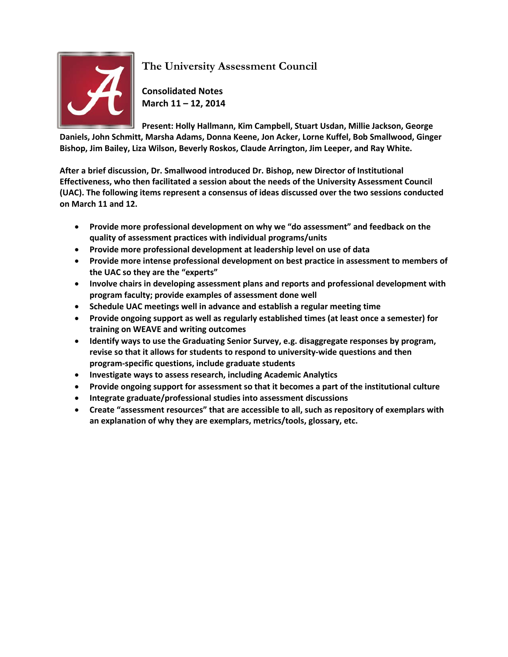

**The University Assessment Council**

**Consolidated Notes March 11 – 12, 2014**

**Present: Holly Hallmann, Kim Campbell, Stuart Usdan, Millie Jackson, George Daniels, John Schmitt, Marsha Adams, Donna Keene, Jon Acker, Lorne Kuffel, Bob Smallwood, Ginger Bishop, Jim Bailey, Liza Wilson, Beverly Roskos, Claude Arrington, Jim Leeper, and Ray White.**

**After a brief discussion, Dr. Smallwood introduced Dr. Bishop, new Director of Institutional Effectiveness, who then facilitated a session about the needs of the University Assessment Council (UAC). The following items represent a consensus of ideas discussed over the two sessions conducted on March 11 and 12.**

- **Provide more professional development on why we "do assessment" and feedback on the quality of assessment practices with individual programs/units**
- **Provide more professional development at leadership level on use of data**
- **Provide more intense professional development on best practice in assessment to members of the UAC so they are the "experts"**
- **Involve chairs in developing assessment plans and reports and professional development with program faculty; provide examples of assessment done well**
- **Schedule UAC meetings well in advance and establish a regular meeting time**
- **Provide ongoing support as well as regularly established times (at least once a semester) for training on WEAVE and writing outcomes**
- **Identify ways to use the Graduating Senior Survey, e.g. disaggregate responses by program, revise so that it allows for students to respond to university-wide questions and then program-specific questions, include graduate students**
- **Investigate ways to assess research, including Academic Analytics**
- **Provide ongoing support for assessment so that it becomes a part of the institutional culture**
- **Integrate graduate/professional studies into assessment discussions**
- **Create "assessment resources" that are accessible to all, such as repository of exemplars with an explanation of why they are exemplars, metrics/tools, glossary, etc.**